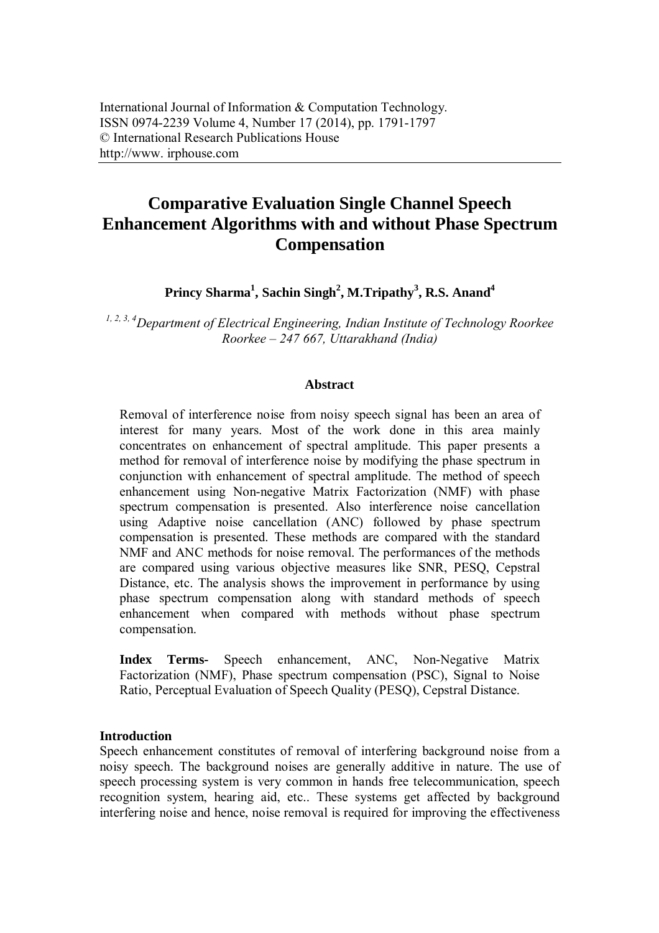# **Comparative Evaluation Single Channel Speech Enhancement Algorithms with and without Phase Spectrum Compensation**

**Princy Sharma<sup>1</sup> , Sachin Singh<sup>2</sup> , M.Tripathy<sup>3</sup> , R.S. Anand<sup>4</sup>**

*1, 2, 3, 4Department of Electrical Engineering, Indian Institute of Technology Roorkee Roorkee – 247 667, Uttarakhand (India)*

### **Abstract**

Removal of interference noise from noisy speech signal has been an area of interest for many years. Most of the work done in this area mainly concentrates on enhancement of spectral amplitude. This paper presents a method for removal of interference noise by modifying the phase spectrum in conjunction with enhancement of spectral amplitude. The method of speech enhancement using Non-negative Matrix Factorization (NMF) with phase spectrum compensation is presented. Also interference noise cancellation using Adaptive noise cancellation (ANC) followed by phase spectrum compensation is presented. These methods are compared with the standard NMF and ANC methods for noise removal. The performances of the methods are compared using various objective measures like SNR, PESQ, Cepstral Distance, etc. The analysis shows the improvement in performance by using phase spectrum compensation along with standard methods of speech enhancement when compared with methods without phase spectrum compensation.

**Index Terms-** Speech enhancement, ANC, Non-Negative Matrix Factorization (NMF), Phase spectrum compensation (PSC), Signal to Noise Ratio, Perceptual Evaluation of Speech Quality (PESQ), Cepstral Distance.

# **Introduction**

Speech enhancement constitutes of removal of interfering background noise from a noisy speech. The background noises are generally additive in nature. The use of speech processing system is very common in hands free telecommunication, speech recognition system, hearing aid, etc.. These systems get affected by background interfering noise and hence, noise removal is required for improving the effectiveness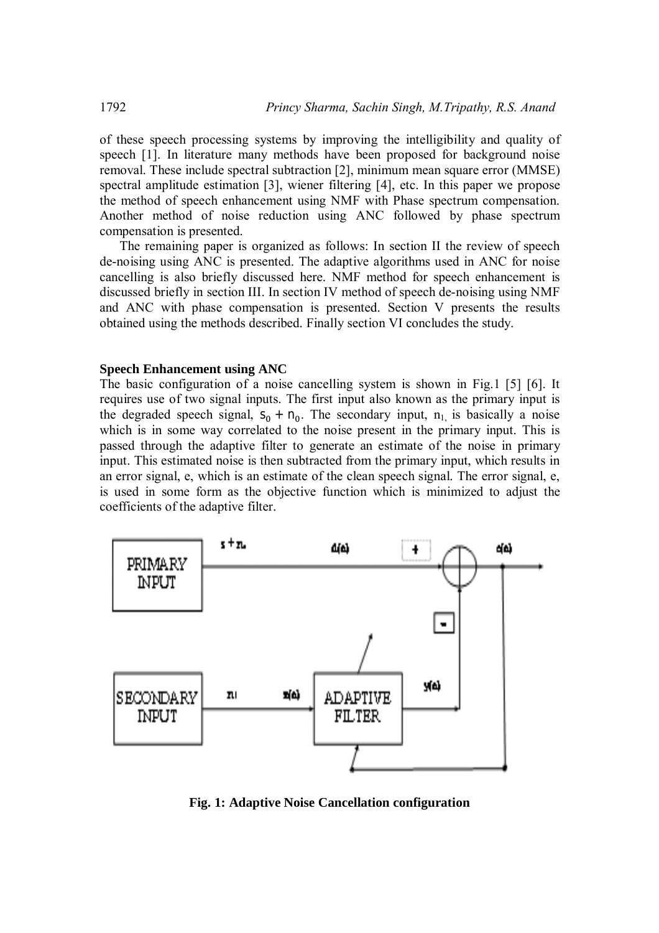of these speech processing systems by improving the intelligibility and quality of speech [1]. In literature many methods have been proposed for background noise removal. These include spectral subtraction [2], minimum mean square error (MMSE) spectral amplitude estimation [3], wiener filtering [4], etc. In this paper we propose the method of speech enhancement using NMF with Phase spectrum compensation. Another method of noise reduction using ANC followed by phase spectrum compensation is presented.

The remaining paper is organized as follows: In section II the review of speech de-noising using ANC is presented. The adaptive algorithms used in ANC for noise cancelling is also briefly discussed here. NMF method for speech enhancement is discussed briefly in section III. In section IV method of speech de-noising using NMF and ANC with phase compensation is presented. Section V presents the results obtained using the methods described. Finally section VI concludes the study.

### **Speech Enhancement using ANC**

The basic configuration of a noise cancelling system is shown in Fig.1 [5] [6]. It requires use of two signal inputs. The first input also known as the primary input is the degraded speech signal,  $S_0 + n_0$ . The secondary input,  $n_1$  is basically a noise which is in some way correlated to the noise present in the primary input. This is passed through the adaptive filter to generate an estimate of the noise in primary input. This estimated noise is then subtracted from the primary input, which results in an error signal, e, which is an estimate of the clean speech signal. The error signal, e, is used in some form as the objective function which is minimized to adjust the coefficients of the adaptive filter.



**Fig. 1: Adaptive Noise Cancellation configuration**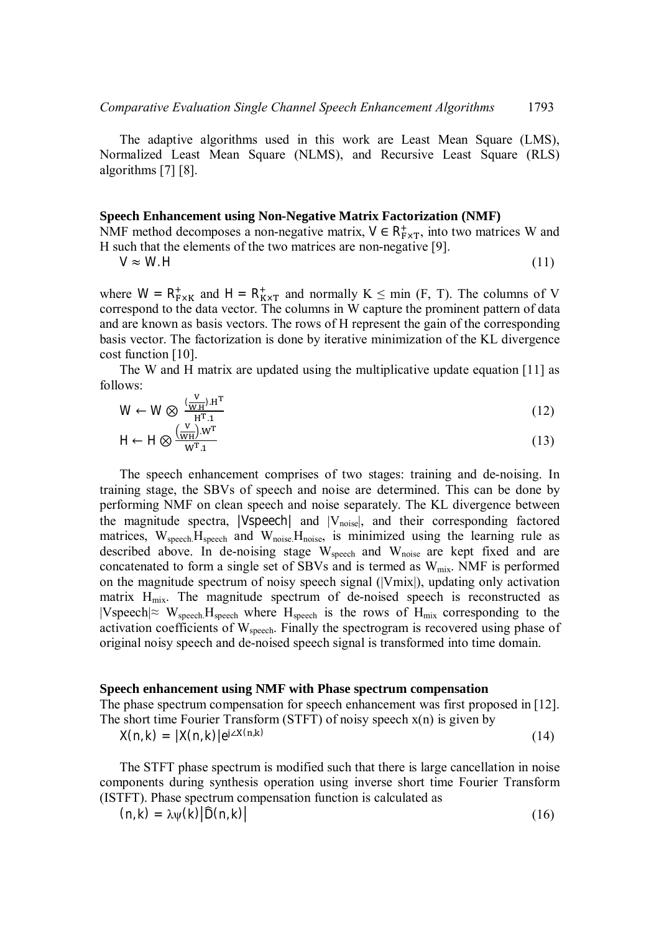The adaptive algorithms used in this work are Least Mean Square (LMS), Normalized Least Mean Square (NLMS), and Recursive Least Square (RLS) algorithms [7] [8].

#### **Speech Enhancement using Non-Negative Matrix Factorization (NMF)**

NMF method decomposes a non-negative matrix,  $V \in R^+_{F \times T}$ , into two matrices W and H such that the elements of the two matrices are non-negative [9].

$$
V \approx W.H
$$
 (11)

where  $W = R_{F \times K}^+$  and  $H = R_{K \times T}^+$  and normally  $K \leq \min(F, T)$ . The columns of V correspond to the data vector. The columns in W capture the prominent pattern of data and are known as basis vectors. The rows of H represent the gain of the corresponding basis vector. The factorization is done by iterative minimization of the KL divergence cost function [10].

The W and H matrix are updated using the multiplicative update equation [11] as follows:

$$
W \leftarrow W \otimes \frac{\left(\frac{V}{W_H}\right) \cdot H^T}{H^T \cdot 1}
$$
 (12)

$$
H \leftarrow H \otimes \frac{\left(\frac{V}{WH}\right) \cdot W^T}{W^T \cdot 1} \tag{13}
$$

The speech enhancement comprises of two stages: training and de-noising. In training stage, the SBVs of speech and noise are determined. This can be done by performing NMF on clean speech and noise separately. The KL divergence between the magnitude spectra,  $|V$ speech| and  $|V_{noise}|$ , and their corresponding factored matrices, W<sub>speech</sub>.H<sub>speech</sub> and W<sub>noise</sub>.H<sub>noise</sub>, is minimized using the learning rule as described above. In de-noising stage W<sub>speech</sub> and W<sub>noise</sub> are kept fixed and are concatenated to form a single set of SBVs and is termed as  $W_{mix}$ . NMF is performed on the magnitude spectrum of noisy speech signal (|Vmix|), updating only activation matrix  $H_{mix}$ . The magnitude spectrum of de-noised speech is reconstructed as  $|V$ speech $|≈$  W<sub>speech</sub> H<sub>speech</sub> where H<sub>speech</sub> is the rows of H<sub>mix</sub> corresponding to the activation coefficients of W<sub>speech</sub>. Finally the spectrogram is recovered using phase of original noisy speech and de-noised speech signal is transformed into time domain.

#### **Speech enhancement using NMF with Phase spectrum compensation**

The phase spectrum compensation for speech enhancement was first proposed in [12]. The short time Fourier Transform (STFT) of noisy speech  $x(n)$  is given by

 $X(n, k) = |X(n, k)|e^{j \angle X(n, k)}$ (14)

The STFT phase spectrum is modified such that there is large cancellation in noise components during synthesis operation using inverse short time Fourier Transform (ISTFT). Phase spectrum compensation function is calculated as

 $(n, k) = \lambda \psi(k) |\widehat{D}(n, k)|$  (16)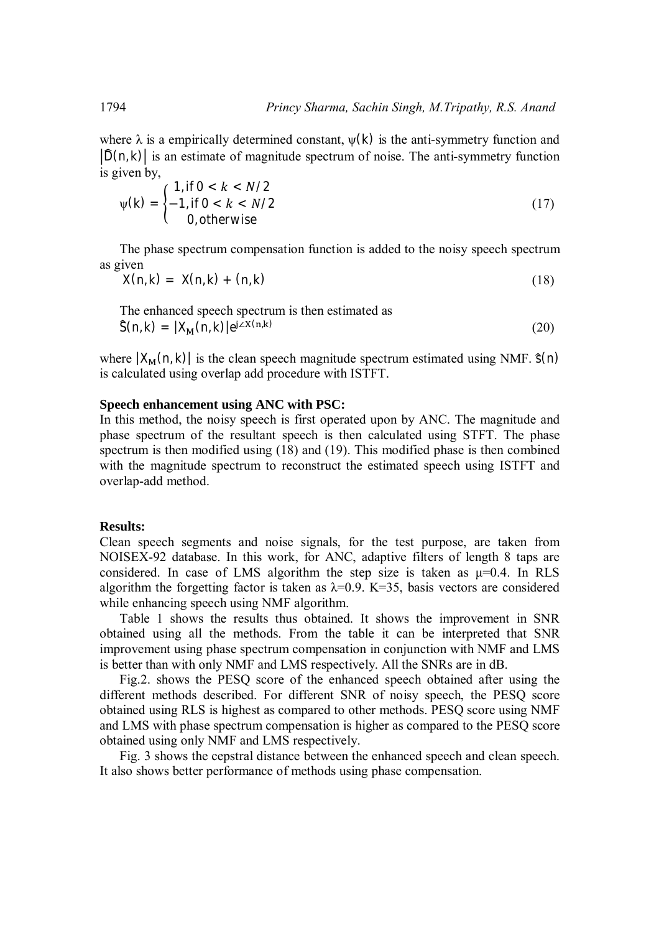where  $\lambda$  is a empirically determined constant,  $\psi(k)$  is the anti-symmetry function and  $|\hat{D}(n, k)|$  is an estimate of magnitude spectrum of noise. The anti-symmetry function is given by,

$$
\psi(k) = \begin{cases} 1, & \text{if } 0 < k < N/2 \\ -1, & \text{if } 0 < k < N/2 \\ 0, & \text{otherwise} \end{cases} \tag{17}
$$

The phase spectrum compensation function is added to the noisy speech spectrum as given

$$
X(n,k) = X(n,k) + (n,k) \tag{18}
$$

The enhanced speech spectrum is then estimated as  
\n
$$
\hat{S}(n,k) = |X_M(n,k)|e^{j\angle X(n,k)}
$$
\n(20)

where  $|X_M(n, k)|$  is the clean speech magnitude spectrum estimated using NMF.  $\hat{s}(n)$ is calculated using overlap add procedure with ISTFT.

### **Speech enhancement using ANC with PSC:**

In this method, the noisy speech is first operated upon by ANC. The magnitude and phase spectrum of the resultant speech is then calculated using STFT. The phase spectrum is then modified using (18) and (19). This modified phase is then combined with the magnitude spectrum to reconstruct the estimated speech using ISTFT and overlap-add method.

### **Results:**

Clean speech segments and noise signals, for the test purpose, are taken from NOISEX-92 database. In this work, for ANC, adaptive filters of length 8 taps are considered. In case of LMS algorithm the step size is taken as  $\mu=0.4$ . In RLS algorithm the forgetting factor is taken as  $\lambda=0.9$ . K=35, basis vectors are considered while enhancing speech using NMF algorithm.

Table 1 shows the results thus obtained. It shows the improvement in SNR obtained using all the methods. From the table it can be interpreted that SNR improvement using phase spectrum compensation in conjunction with NMF and LMS is better than with only NMF and LMS respectively. All the SNRs are in dB.

Fig.2. shows the PESQ score of the enhanced speech obtained after using the different methods described. For different SNR of noisy speech, the PESQ score obtained using RLS is highest as compared to other methods. PESQ score using NMF and LMS with phase spectrum compensation is higher as compared to the PESQ score obtained using only NMF and LMS respectively.

Fig. 3 shows the cepstral distance between the enhanced speech and clean speech. It also shows better performance of methods using phase compensation.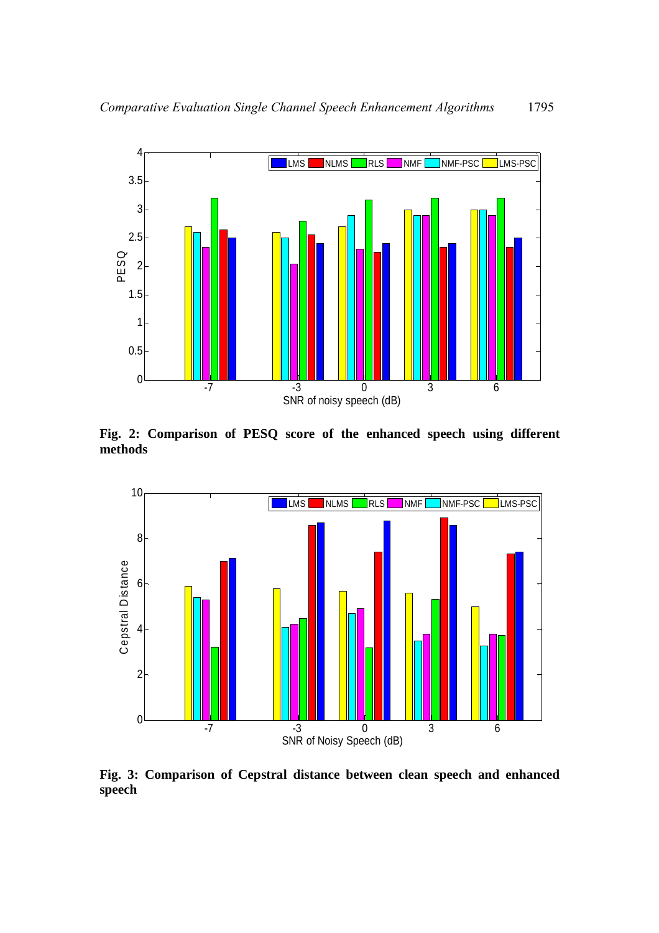

**Fig. 2: Comparison of PESQ score of the enhanced speech using different methods**



**Fig. 3: Comparison of Cepstral distance between clean speech and enhanced speech**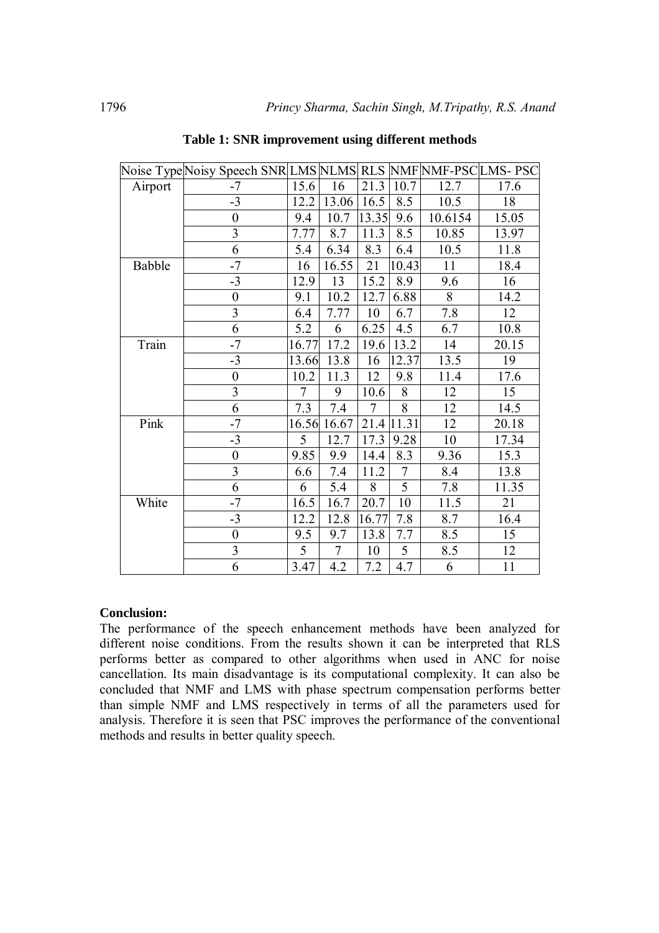|         | Noise Type Noisy Speech SNR LMS NLMS  RLS  NMF NMF-PSC LMS- PSC |        |                |        |                |         |       |
|---------|-----------------------------------------------------------------|--------|----------------|--------|----------------|---------|-------|
| Airport | $-7$                                                            | 15.6   | 16             | 21.3   | 10.7           | 12.7    | 17.6  |
|         | $-3$                                                            | 12.2   | 13.06          | 16.5   | 8.5            | 10.5    | 18    |
|         | $\boldsymbol{0}$                                                | 9.4    | 10.7           | 13.35  | 9.6            | 10.6154 | 15.05 |
|         | 3                                                               | 7.77   | 8.7            | 11.3   | 8.5            | 10.85   | 13.97 |
|         | 6                                                               | 5.4    | 6.34           | 8.3    | 6.4            | 10.5    | 11.8  |
| Babble  | $-7$                                                            | 16     | 16.55          | 21     | 10.43          | 11      | 18.4  |
|         | $-3$                                                            | 12.9   | 13             | 15.2   | 8.9            | 9.6     | 16    |
|         | $\boldsymbol{0}$                                                | 9.1    | 10.2           | 12.7   | 6.88           | 8       | 14.2  |
|         | $\overline{3}$                                                  | 6.4    | 7.77           | 10     | 6.7            | 7.8     | 12    |
|         | 6                                                               | 5.2    | 6              | 6.25   | 4.5            | 6.7     | 10.8  |
| Train   | $-7$                                                            | 16.77  | 17.2           | 19.6   | 13.2           | 14      | 20.15 |
|         | $-3$                                                            | 13.66  | 13.8           | 16     | 12.37          | 13.5    | 19    |
|         | $\boldsymbol{0}$                                                | 10.2   | 11.3           | 12     | 9.8            | 11.4    | 17.6  |
|         | 3                                                               | $\tau$ | 9              | 10.6   | 8              | 12      | 15    |
|         | 6                                                               | 7.3    | 7.4            | $\tau$ | 8              | 12      | 14.5  |
| Pink    | $-7$                                                            |        | 16.56 16.67    | 21.4   | 11.31          | 12      | 20.18 |
|         | $-3$                                                            | 5      | 12.7           | 17.3   | 9.28           | 10      | 17.34 |
|         | $\boldsymbol{0}$                                                | 9.85   | 9.9            | 14.4   | 8.3            | 9.36    | 15.3  |
|         | 3                                                               | 6.6    | 7.4            | 11.2   | $\overline{7}$ | 8.4     | 13.8  |
|         | 6                                                               | 6      | 5.4            | 8      | 5              | 7.8     | 11.35 |
| White   | $-7$                                                            | 16.5   | 16.7           | 20.7   | 10             | 11.5    | 21    |
|         | $-3$                                                            | 12.2   | 12.8           | 16.77  | 7.8            | 8.7     | 16.4  |
|         | $\boldsymbol{0}$                                                | 9.5    | 9.7            | 13.8   | 7.7            | 8.5     | 15    |
|         | $\overline{\mathbf{3}}$                                         | 5      | $\overline{7}$ | 10     | 5              | 8.5     | 12    |
|         | 6                                                               | 3.47   | 4.2            | 7.2    | 4.7            | 6       | 11    |

**Table 1: SNR improvement using different methods**

# **Conclusion:**

The performance of the speech enhancement methods have been analyzed for different noise conditions. From the results shown it can be interpreted that RLS performs better as compared to other algorithms when used in ANC for noise cancellation. Its main disadvantage is its computational complexity. It can also be concluded that NMF and LMS with phase spectrum compensation performs better than simple NMF and LMS respectively in terms of all the parameters used for analysis. Therefore it is seen that PSC improves the performance of the conventional methods and results in better quality speech.